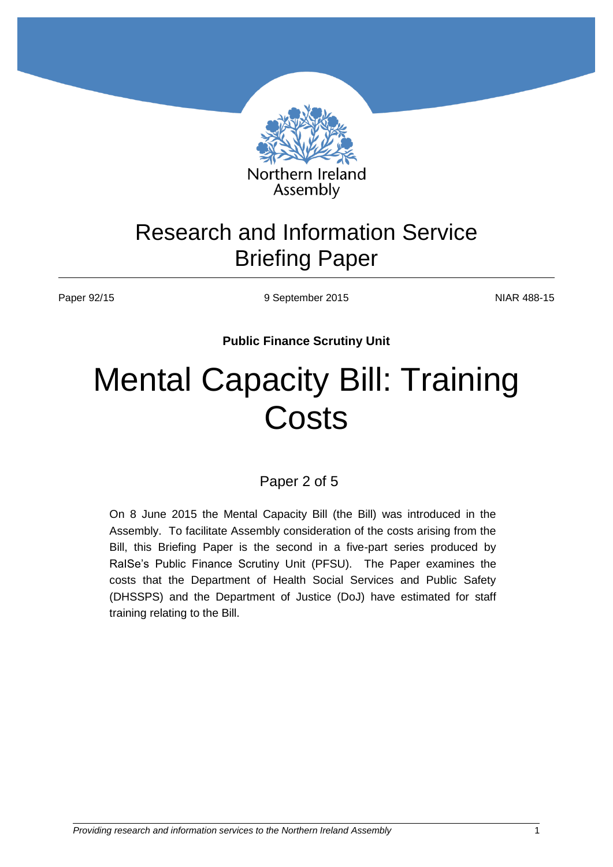

# Research and Information Service Briefing Paper

Paper 92/15 **NIAR 488-15** 9 September 2015

**Public Finance Scrutiny Unit**

# Mental Capacity Bill: Training **Costs**

Paper 2 of 5

On 8 June 2015 the Mental Capacity Bill (the Bill) was introduced in the Assembly. To facilitate Assembly consideration of the costs arising from the Bill, this Briefing Paper is the second in a five-part series produced by RaISe's Public Finance Scrutiny Unit (PFSU). The Paper examines the costs that the Department of Health Social Services and Public Safety (DHSSPS) and the Department of Justice (DoJ) have estimated for staff training relating to the Bill.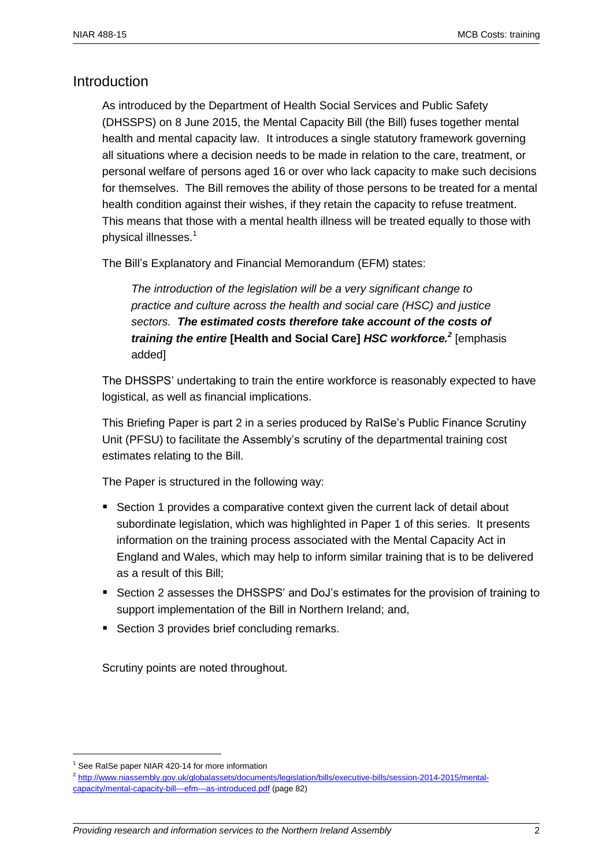## Introduction

As introduced by the Department of Health Social Services and Public Safety (DHSSPS) on 8 June 2015, the Mental Capacity Bill (the Bill) fuses together mental health and mental capacity law. It introduces a single statutory framework governing all situations where a decision needs to be made in relation to the care, treatment, or personal welfare of persons aged 16 or over who lack capacity to make such decisions for themselves. The Bill removes the ability of those persons to be treated for a mental health condition against their wishes, if they retain the capacity to refuse treatment. This means that those with a mental health illness will be treated equally to those with physical illnesses. 1

The Bill's Explanatory and Financial Memorandum (EFM) states:

*The introduction of the legislation will be a very significant change to practice and culture across the health and social care (HSC) and justice sectors. The estimated costs therefore take account of the costs of training the entire* **[Health and Social Care]** *HSC workforce.<sup>2</sup>* [emphasis added]

The DHSSPS' undertaking to train the entire workforce is reasonably expected to have logistical, as well as financial implications.

This Briefing Paper is part 2 in a series produced by RaISe's Public Finance Scrutiny Unit (PFSU) to facilitate the Assembly's scrutiny of the departmental training cost estimates relating to the Bill.

The Paper is structured in the following way:

- **Section 1 provides a comparative context given the current lack of detail about** subordinate legislation, which was highlighted in Paper 1 of this series. It presents information on the training process associated with the Mental Capacity Act in England and Wales, which may help to inform similar training that is to be delivered as a result of this Bill;
- **Section 2 assesses the DHSSPS' and DoJ's estimates for the provision of training to** support implementation of the Bill in Northern Ireland; and,
- Section 3 provides brief concluding remarks.

Scrutiny points are noted throughout.

<sup>&</sup>lt;sup>1</sup> See RaISe paper NIAR 420-14 for more information

<sup>2</sup> [http://www.niassembly.gov.uk/globalassets/documents/legislation/bills/executive-bills/session-2014-2015/mental](http://www.niassembly.gov.uk/globalassets/documents/legislation/bills/executive-bills/session-2014-2015/mental-capacity/mental-capacity-bill---efm---as-introduced.pdf)[capacity/mental-capacity-bill---efm---as-introduced.pdf](http://www.niassembly.gov.uk/globalassets/documents/legislation/bills/executive-bills/session-2014-2015/mental-capacity/mental-capacity-bill---efm---as-introduced.pdf) (page 82)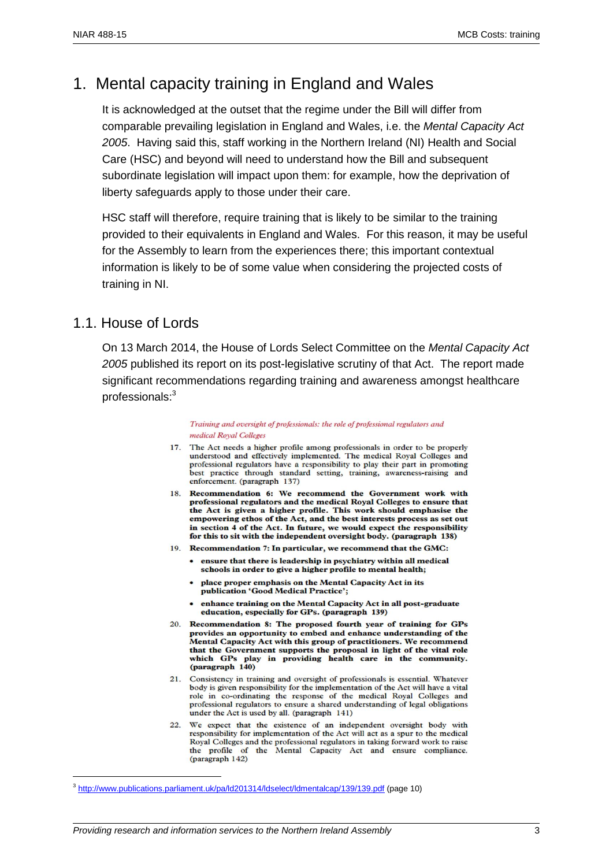# 1. Mental capacity training in England and Wales

It is acknowledged at the outset that the regime under the Bill will differ from comparable prevailing legislation in England and Wales, i.e. the *Mental Capacity Act 2005*. Having said this, staff working in the Northern Ireland (NI) Health and Social Care (HSC) and beyond will need to understand how the Bill and subsequent subordinate legislation will impact upon them: for example, how the deprivation of liberty safeguards apply to those under their care.

HSC staff will therefore, require training that is likely to be similar to the training provided to their equivalents in England and Wales. For this reason, it may be useful for the Assembly to learn from the experiences there; this important contextual information is likely to be of some value when considering the projected costs of training in NI.

#### 1.1. House of Lords

 $\overline{a}$ 

On 13 March 2014, the House of Lords Select Committee on the *Mental Capacity Act 2005* published its report on its post-legislative scrutiny of that Act. The report made significant recommendations regarding training and awareness amongst healthcare professionals:<sup>3</sup>

> Training and oversight of professionals: the role of professional regulators and medical Royal Colleges

- 17. The Act needs a higher profile among professionals in order to be properly understood and effectively implemented. The medical Royal Colleges and professional regulators have a responsibility to play their part in promoting best practice through standard setting, training, awareness-raising and enforcement. (paragraph 137)
- 18. Recommendation 6: We recommend the Government work with professional regulators and the medical Royal Colleges to ensure that the Act is given a higher profile. This work should emphasise the empowering ethos of the Act, and the best interests process as set out in section 4 of the Act. In future, we would expect the responsibility for this to sit with the independent oversight body. (paragraph 138)
- 19. Recommendation 7: In particular, we recommend that the GMC:
	- ensure that there is leadership in psychiatry within all medical schools in order to give a higher profile to mental health;
	- place proper emphasis on the Mental Capacity Act in its publication 'Good Medical Practice';
	- enhance training on the Mental Capacity Act in all post-graduate education, especially for GPs. (paragraph 139)
- 20. Recommendation 8: The proposed fourth year of training for GPs provides an opportunity to embed and enhance understanding of the Mental Capacity Act with this group of practitioners. We recommend that the Government supports the proposal in light of the vital role which GPs play in providing health care in the community. (paragraph 140)
- 21. Consistency in training and oversight of professionals is essential. Whatever body is given responsibility for the implementation of the Act will have a vital role in co-ordinating the response of the medical Royal Colleges and professional regulators to ensure a shared understanding of legal obligations under the Act is used by all. (paragraph 141)
- 22. We expect that the existence of an independent oversight body with responsibility for implementation of the Act will act as a spur to the medical Royal Colleges and the professional regulators in taking forward work to raise the profile of the Mental Capacity Act and ensure compliance. (paragraph 142)

<sup>&</sup>lt;sup>3</sup> <http://www.publications.parliament.uk/pa/ld201314/ldselect/ldmentalcap/139/139.pdf> (page 10)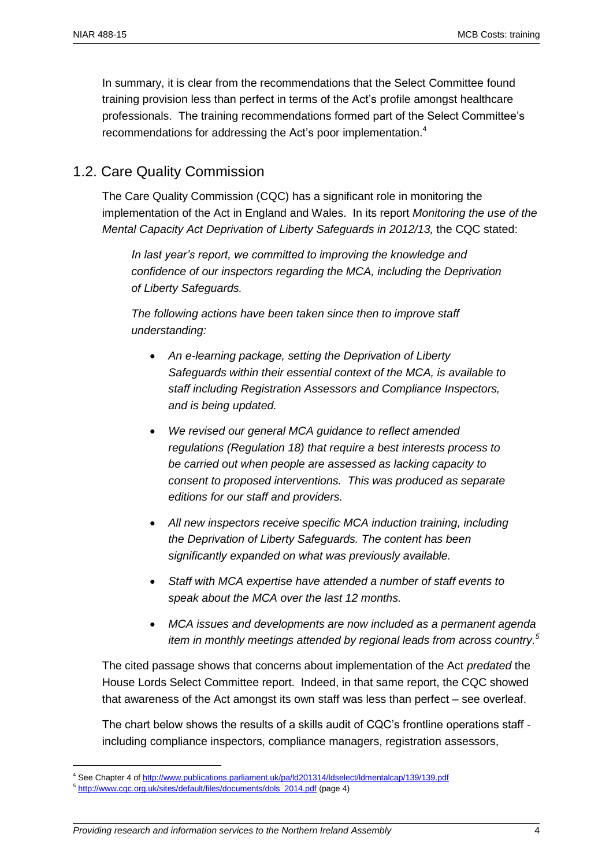In summary, it is clear from the recommendations that the Select Committee found training provision less than perfect in terms of the Act's profile amongst healthcare professionals. The training recommendations formed part of the Select Committee's recommendations for addressing the Act's poor implementation.<sup>4</sup>

#### 1.2. Care Quality Commission

The Care Quality Commission (CQC) has a significant role in monitoring the implementation of the Act in England and Wales. In its report *Monitoring the use of the Mental Capacity Act Deprivation of Liberty Safeguards in 2012/13,* the CQC stated:

*In last year's report, we committed to improving the knowledge and confidence of our inspectors regarding the MCA, including the Deprivation of Liberty Safeguards.*

*The following actions have been taken since then to improve staff understanding:*

- *An e-learning package, setting the Deprivation of Liberty Safeguards within their essential context of the MCA, is available to staff including Registration Assessors and Compliance Inspectors, and is being updated.*
- *We revised our general MCA guidance to reflect amended regulations (Regulation 18) that require a best interests process to be carried out when people are assessed as lacking capacity to consent to proposed interventions. This was produced as separate editions for our staff and providers.*
- *All new inspectors receive specific MCA induction training, including the Deprivation of Liberty Safeguards. The content has been significantly expanded on what was previously available.*
- *Staff with MCA expertise have attended a number of staff events to speak about the MCA over the last 12 months.*
- *MCA issues and developments are now included as a permanent agenda item in monthly meetings attended by regional leads from across country. 5*

The cited passage shows that concerns about implementation of the Act *predated* the House Lords Select Committee report. Indeed, in that same report, the CQC showed that awareness of the Act amongst its own staff was less than perfect – see overleaf.

The chart below shows the results of a skills audit of CQC's frontline operations staff including compliance inspectors, compliance managers, registration assessors,

<sup>4</sup> See Chapter 4 o[f http://www.publications.parliament.uk/pa/ld201314/ldselect/ldmentalcap/139/139.pdf](http://www.publications.parliament.uk/pa/ld201314/ldselect/ldmentalcap/139/139.pdf)

<sup>&</sup>lt;sup>5</sup> [http://www.cqc.org.uk/sites/default/files/documents/dols\\_2014.pdf](http://www.cqc.org.uk/sites/default/files/documents/dols_2014.pdf) (page 4)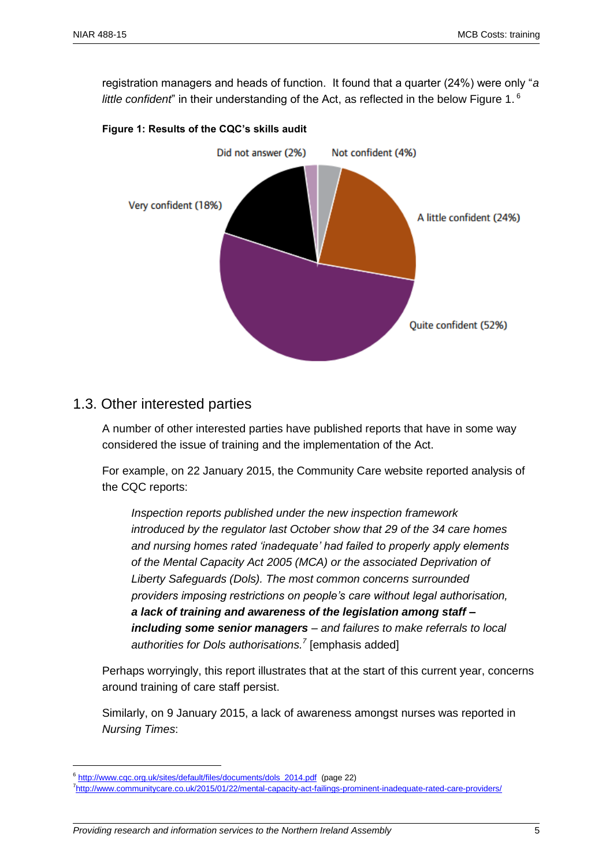registration managers and heads of function. It found that a quarter (24%) were only "*a*  little confident" in their understanding of the Act, as reflected in the below Figure 1.<sup>6</sup>





#### 1.3. Other interested parties

A number of other interested parties have published reports that have in some way considered the issue of training and the implementation of the Act.

For example, on 22 January 2015, the Community Care website reported analysis of the CQC reports:

*Inspection reports published under the new inspection framework introduced by the regulator last October show that 29 of the 34 care homes and nursing homes rated 'inadequate' had failed to properly apply elements of the Mental Capacity Act 2005 (MCA) or the associated Deprivation of Liberty Safeguards (Dols). The most common concerns surrounded providers imposing restrictions on people's care without legal authorisation, a lack of training and awareness of the legislation among staff – including some senior managers – and failures to make referrals to local authorities for Dols authorisations.<sup>7</sup>* [emphasis added]

Perhaps worryingly, this report illustrates that at the start of this current year, concerns around training of care staff persist.

Similarly, on 9 January 2015, a lack of awareness amongst nurses was reported in *Nursing Times*:

<sup>&</sup>lt;sup>6</sup> [http://www.cqc.org.uk/sites/default/files/documents/dols\\_2014.pdf](http://www.cqc.org.uk/sites/default/files/documents/dols_2014.pdf) (page 22)

<sup>7&</sup>lt;sub><http://www.communitycare.co.uk/2015/01/22/mental-capacity-act-failings-prominent-inadequate-rated-care-providers/></sub>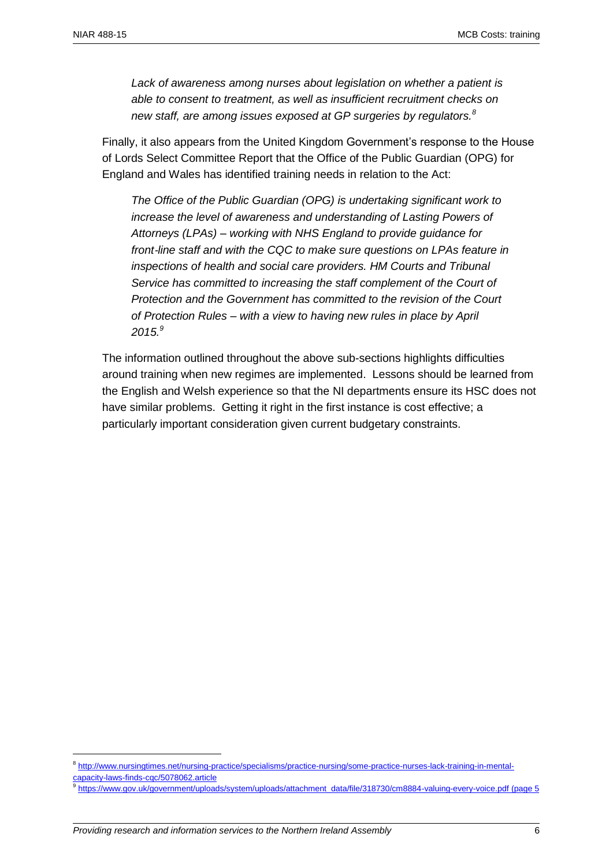$\overline{a}$ 

*Lack of awareness among nurses about legislation on whether a patient is able to consent to treatment, as well as insufficient recruitment checks on new staff, are among issues exposed at GP surgeries by regulators.<sup>8</sup>*

Finally, it also appears from the United Kingdom Government's response to the House of Lords Select Committee Report that the Office of the Public Guardian (OPG) for England and Wales has identified training needs in relation to the Act:

*The Office of the Public Guardian (OPG) is undertaking significant work to increase the level of awareness and understanding of Lasting Powers of Attorneys (LPAs) – working with NHS England to provide guidance for front*‐*line staff and with the CQC to make sure questions on LPAs feature in inspections of health and social care providers. HM Courts and Tribunal Service has committed to increasing the staff complement of the Court of Protection and the Government has committed to the revision of the Court of Protection Rules – with a view to having new rules in place by April 2015.<sup>9</sup>*

The information outlined throughout the above sub-sections highlights difficulties around training when new regimes are implemented. Lessons should be learned from the English and Welsh experience so that the NI departments ensure its HSC does not have similar problems. Getting it right in the first instance is cost effective; a particularly important consideration given current budgetary constraints.

<sup>8</sup> [http://www.nursingtimes.net/nursing-practice/specialisms/practice-nursing/some-practice-nurses-lack-training-in-mental](http://www.nursingtimes.net/nursing-practice/specialisms/practice-nursing/some-practice-nurses-lack-training-in-mental-capacity-laws-finds-cqc/5078062.article)[capacity-laws-finds-cqc/5078062.article](http://www.nursingtimes.net/nursing-practice/specialisms/practice-nursing/some-practice-nurses-lack-training-in-mental-capacity-laws-finds-cqc/5078062.article)

<sup>9</sup> [https://www.gov.uk/government/uploads/system/uploads/attachment\\_data/file/318730/cm8884-valuing-every-voice.pdf](https://www.gov.uk/government/uploads/system/uploads/attachment_data/file/318730/cm8884-valuing-every-voice.pdf) (page 5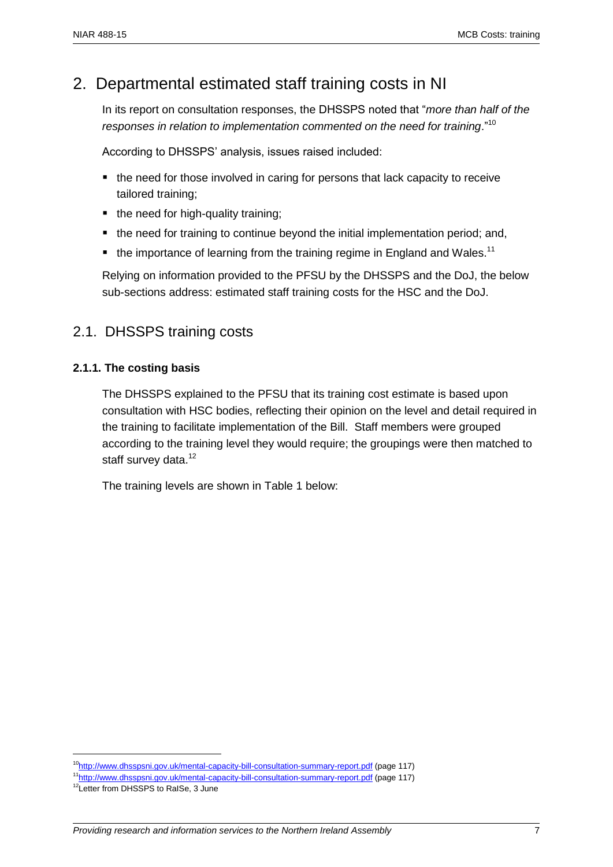# 2. Departmental estimated staff training costs in NI

In its report on consultation responses, the DHSSPS noted that "*more than half of the responses in relation to implementation commented on the need for training*."<sup>10</sup>

According to DHSSPS' analysis, issues raised included:

- $\blacksquare$  the need for those involved in caring for persons that lack capacity to receive tailored training;
- the need for high-quality training;
- the need for training to continue beyond the initial implementation period; and,
- $\bullet$  the importance of learning from the training regime in England and Wales.<sup>11</sup>

Relying on information provided to the PFSU by the DHSSPS and the DoJ, the below sub-sections address: estimated staff training costs for the HSC and the DoJ.

## 2.1. DHSSPS training costs

#### **2.1.1. The costing basis**

The DHSSPS explained to the PFSU that its training cost estimate is based upon consultation with HSC bodies, reflecting their opinion on the level and detail required in the training to facilitate implementation of the Bill. Staff members were grouped according to the training level they would require; the groupings were then matched to staff survey data.<sup>12</sup>

The training levels are shown in Table 1 below:

<sup>&</sup>lt;sup>10</sup><http://www.dhsspsni.gov.uk/mental-capacity-bill-consultation-summary-report.pdf> (page 117)

<sup>11</sup><http://www.dhsspsni.gov.uk/mental-capacity-bill-consultation-summary-report.pdf> (page 117)

<sup>&</sup>lt;sup>12</sup>Letter from DHSSPS to RaISe, 3 June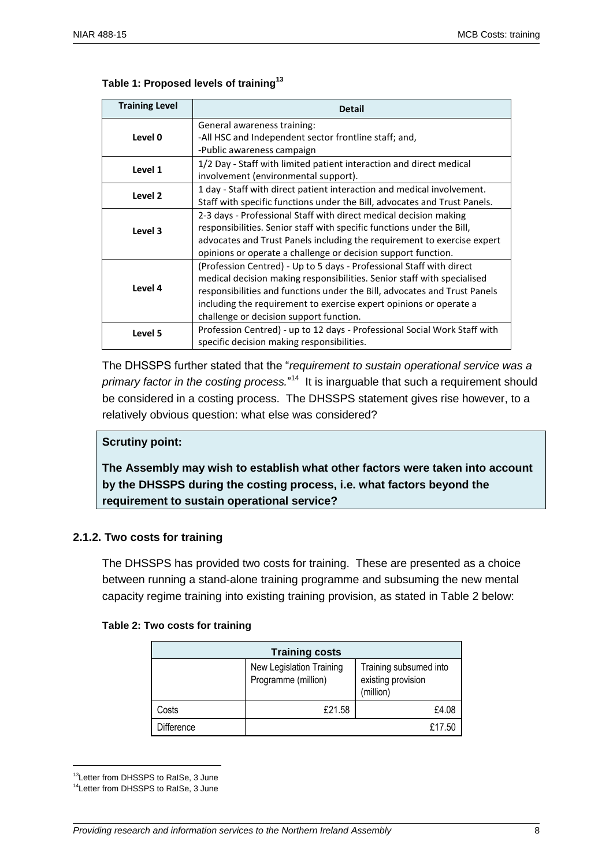| <b>Training Level</b> | <b>Detail</b>                                                             |  |
|-----------------------|---------------------------------------------------------------------------|--|
|                       | General awareness training:                                               |  |
| Level 0               | -All HSC and Independent sector frontline staff; and,                     |  |
|                       | -Public awareness campaign                                                |  |
| Level 1               | 1/2 Day - Staff with limited patient interaction and direct medical       |  |
|                       | involvement (environmental support).                                      |  |
| Level 2               | 1 day - Staff with direct patient interaction and medical involvement.    |  |
|                       | Staff with specific functions under the Bill, advocates and Trust Panels. |  |
|                       | 2-3 days - Professional Staff with direct medical decision making         |  |
| Level 3               | responsibilities. Senior staff with specific functions under the Bill,    |  |
|                       | advocates and Trust Panels including the requirement to exercise expert   |  |
|                       | opinions or operate a challenge or decision support function.             |  |
|                       | (Profession Centred) - Up to 5 days - Professional Staff with direct      |  |
| Level 4               | medical decision making responsibilities. Senior staff with specialised   |  |
|                       | responsibilities and functions under the Bill, advocates and Trust Panels |  |
|                       | including the requirement to exercise expert opinions or operate a        |  |
|                       | challenge or decision support function.                                   |  |
| Level 5               | Profession Centred) - up to 12 days - Professional Social Work Staff with |  |
|                       | specific decision making responsibilities.                                |  |

#### **Table 1: Proposed levels of training<sup>13</sup>**

The DHSSPS further stated that the "*requirement to sustain operational service was a*  primary factor in the costing process."<sup>14</sup> It is inarguable that such a requirement should be considered in a costing process. The DHSSPS statement gives rise however, to a relatively obvious question: what else was considered?

#### **Scrutiny point:**

**The Assembly may wish to establish what other factors were taken into account by the DHSSPS during the costing process, i.e. what factors beyond the requirement to sustain operational service?**

#### **2.1.2. Two costs for training**

The DHSSPS has provided two costs for training. These are presented as a choice between running a stand-alone training programme and subsuming the new mental capacity regime training into existing training provision, as stated in Table 2 below:

|  |  | Table 2: Two costs for training |
|--|--|---------------------------------|
|  |  |                                 |

| <b>Training costs</b> |                                                 |                                                           |  |
|-----------------------|-------------------------------------------------|-----------------------------------------------------------|--|
|                       | New Legislation Training<br>Programme (million) | Training subsumed into<br>existing provision<br>(million) |  |
| Costs                 | £21.58                                          | £4.08                                                     |  |
| Difference            |                                                 | £17.50                                                    |  |

<sup>13</sup>Letter from DHSSPS to RaISe, 3 June

<sup>14</sup>Letter from DHSSPS to RaISe, 3 June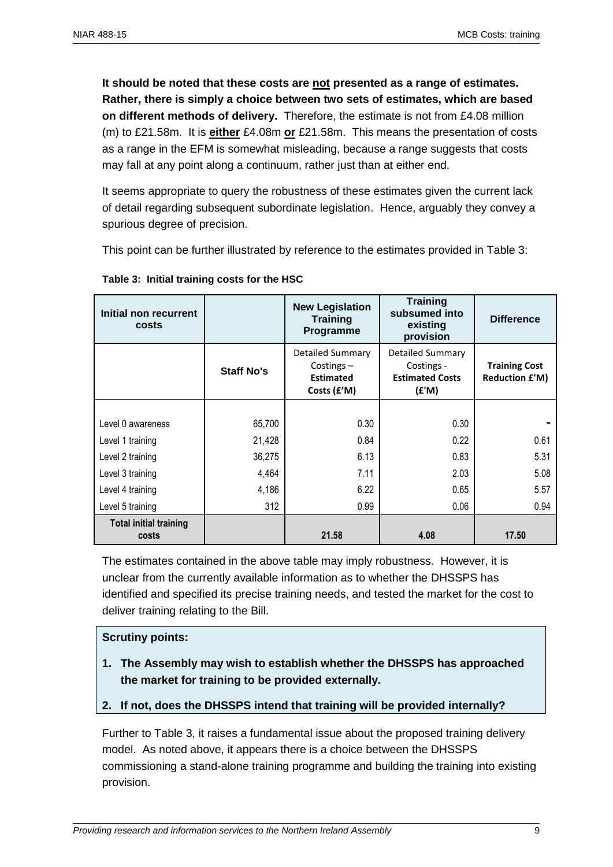**It should be noted that these costs are not presented as a range of estimates. Rather, there is simply a choice between two sets of estimates, which are based on different methods of delivery.** Therefore, the estimate is not from £4.08 million (m) to £21.58m. It is **either** £4.08m **or** £21.58m. This means the presentation of costs as a range in the EFM is somewhat misleading, because a range suggests that costs may fall at any point along a continuum, rather just than at either end.

It seems appropriate to query the robustness of these estimates given the current lack of detail regarding subsequent subordinate legislation. Hence, arguably they convey a spurious degree of precision.

This point can be further illustrated by reference to the estimates provided in Table 3:

| Initial non recurrent<br>costs         |                   | <b>New Legislation</b><br><b>Training</b><br>Programme                     | <b>Training</b><br>subsumed into<br>existing<br>provision                | <b>Difference</b>                             |
|----------------------------------------|-------------------|----------------------------------------------------------------------------|--------------------------------------------------------------------------|-----------------------------------------------|
|                                        | <b>Staff No's</b> | <b>Detailed Summary</b><br>Costings $-$<br><b>Estimated</b><br>Costs (£'M) | <b>Detailed Summary</b><br>Costings -<br><b>Estimated Costs</b><br>(£'M) | <b>Training Cost</b><br><b>Reduction £'M)</b> |
|                                        |                   |                                                                            |                                                                          |                                               |
| Level 0 awareness                      | 65,700            | 0.30                                                                       | 0.30                                                                     |                                               |
| Level 1 training                       | 21,428            | 0.84                                                                       | 0.22                                                                     | 0.61                                          |
| Level 2 training                       | 36,275            | 6.13                                                                       | 0.83                                                                     | 5.31                                          |
| Level 3 training                       | 4,464             | 7.11                                                                       | 2.03                                                                     | 5.08                                          |
| Level 4 training                       | 4,186             | 6.22                                                                       | 0.65                                                                     | 5.57                                          |
| Level 5 training                       | 312               | 0.99                                                                       | 0.06                                                                     | 0.94                                          |
| <b>Total initial training</b><br>costs |                   | 21.58                                                                      | 4.08                                                                     | 17.50                                         |

**Table 3: Initial training costs for the HSC**

The estimates contained in the above table may imply robustness. However, it is unclear from the currently available information as to whether the DHSSPS has identified and specified its precise training needs, and tested the market for the cost to deliver training relating to the Bill.

#### **Scrutiny points:**

- **1. The Assembly may wish to establish whether the DHSSPS has approached the market for training to be provided externally.**
- **2. If not, does the DHSSPS intend that training will be provided internally?**

Further to Table 3, it raises a fundamental issue about the proposed training delivery model. As noted above, it appears there is a choice between the DHSSPS commissioning a stand-alone training programme and building the training into existing provision.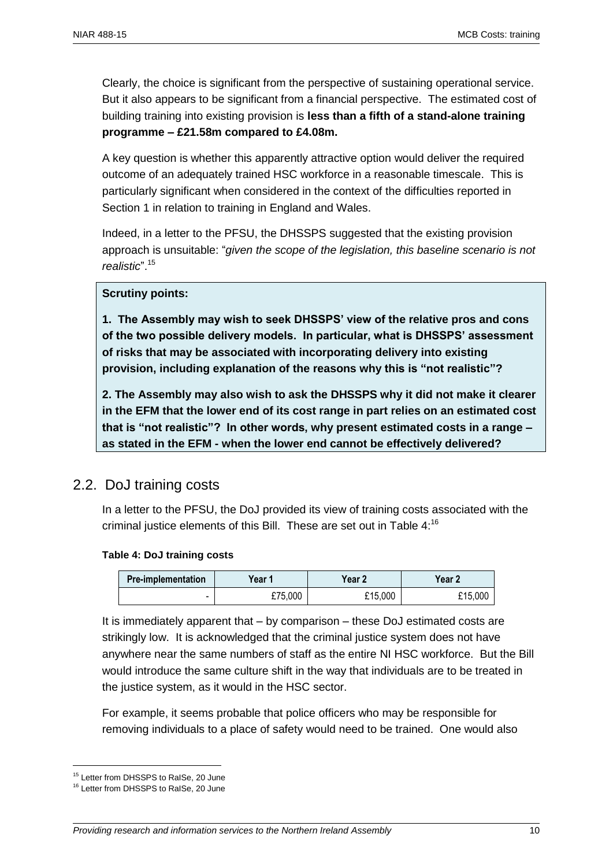Clearly, the choice is significant from the perspective of sustaining operational service. But it also appears to be significant from a financial perspective. The estimated cost of building training into existing provision is **less than a fifth of a stand-alone training programme – £21.58m compared to £4.08m.** 

A key question is whether this apparently attractive option would deliver the required outcome of an adequately trained HSC workforce in a reasonable timescale. This is particularly significant when considered in the context of the difficulties reported in Section 1 in relation to training in England and Wales.

Indeed, in a letter to the PFSU, the DHSSPS suggested that the existing provision approach is unsuitable: "*given the scope of the legislation, this baseline scenario is not realistic*". 15

#### **Scrutiny points:**

**1. The Assembly may wish to seek DHSSPS' view of the relative pros and cons of the two possible delivery models. In particular, what is DHSSPS' assessment of risks that may be associated with incorporating delivery into existing provision, including explanation of the reasons why this is "not realistic"?**

**2. The Assembly may also wish to ask the DHSSPS why it did not make it clearer in the EFM that the lower end of its cost range in part relies on an estimated cost that is "not realistic"? In other words, why present estimated costs in a range – as stated in the EFM - when the lower end cannot be effectively delivered?**

#### 2.2. DoJ training costs

In a letter to the PFSU, the DoJ provided its view of training costs associated with the criminal justice elements of this Bill. These are set out in Table  $4:^{16}$ 

#### **Table 4: DoJ training costs**

| <b>Pre-implementation</b> | Year ′  | Year 2  | Year 2  |
|---------------------------|---------|---------|---------|
| -                         | £75,000 | £15,000 | £15,000 |

It is immediately apparent that – by comparison – these DoJ estimated costs are strikingly low. It is acknowledged that the criminal justice system does not have anywhere near the same numbers of staff as the entire NI HSC workforce. But the Bill would introduce the same culture shift in the way that individuals are to be treated in the justice system, as it would in the HSC sector.

For example, it seems probable that police officers who may be responsible for removing individuals to a place of safety would need to be trained. One would also

<sup>&</sup>lt;sup>15</sup> Letter from DHSSPS to RaISe, 20 June

<sup>&</sup>lt;sup>16</sup> Letter from DHSSPS to RaISe, 20 June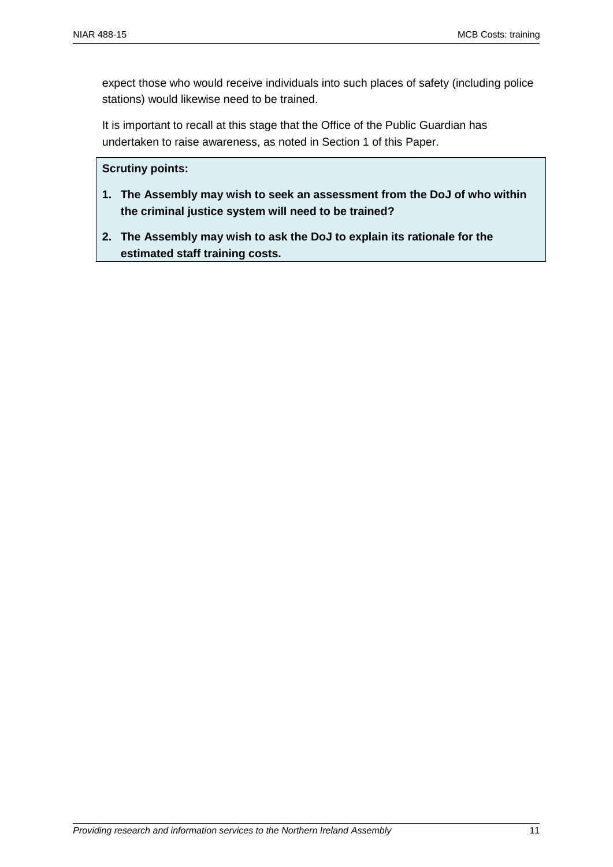expect those who would receive individuals into such places of safety (including police stations) would likewise need to be trained.

It is important to recall at this stage that the Office of the Public Guardian has undertaken to raise awareness, as noted in Section 1 of this Paper.

#### **Scrutiny points:**

- **1. The Assembly may wish to seek an assessment from the DoJ of who within the criminal justice system will need to be trained?**
- **2. The Assembly may wish to ask the DoJ to explain its rationale for the estimated staff training costs.**